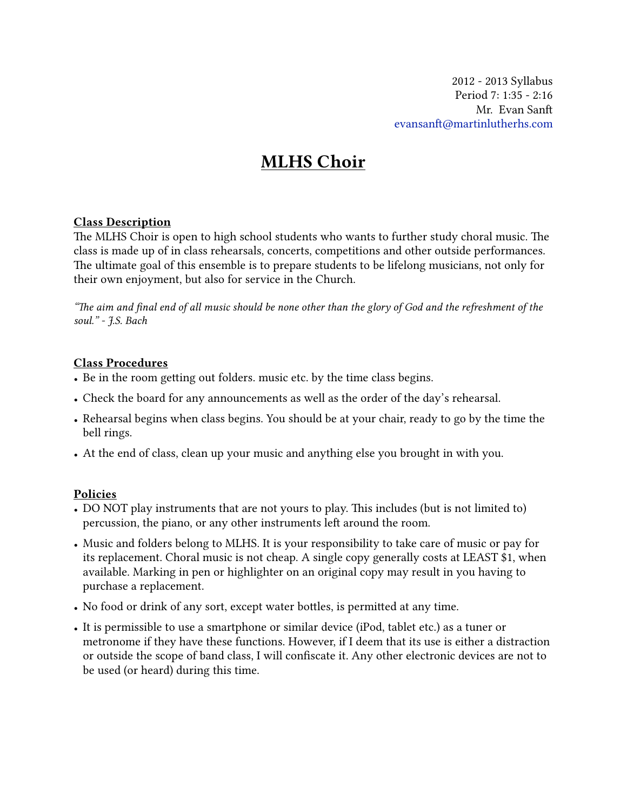2012 - 2013 Syllabus Period 7: 1:35 - 2:16 Mr. Evan San evansanft[@martinlutherhs.com](mailto:evansanft@martinlutherhs.com)

# MLHS Choir

#### Class Description

The MLHS Choir is open to high school students who wants to further study choral music. The class is made up of in class rehearsals, concerts, competitions and other outside performances. The ultimate goal of this ensemble is to prepare students to be lifelong musicians, not only for their own enjoyment, but also for service in the Church.

*"e aim and* fi*nal end of all music should be none other than the glory of God and the refreshment of the soul." - J.S. Bach*

#### Class Procedures

- Be in the room getting out folders. music etc. by the time class begins.
- Check the board for any announcements as well as the order of the day's rehearsal.
- Rehearsal begins when class begins. You should be at your chair, ready to go by the time the bell rings.
- At the end of class, clean up your music and anything else you brought in with you.

#### Policies

- DO NOT play instruments that are not yours to play. This includes (but is not limited to) percussion, the piano, or any other instruments left around the room.
- Music and folders belong to MLHS. It is your responsibility to take care of music or pay for its replacement. Choral music is not cheap. A single copy generally costs at LEAST \$1, when available. Marking in pen or highlighter on an original copy may result in you having to purchase a replacement.
- No food or drink of any sort, except water bottles, is permitted at any time.
- It is permissible to use a smartphone or similar device (iPod, tablet etc.) as a tuner or metronome if they have these functions. However, if I deem that its use is either a distraction or outside the scope of band class, I will confiscate it. Any other electronic devices are not to be used (or heard) during this time.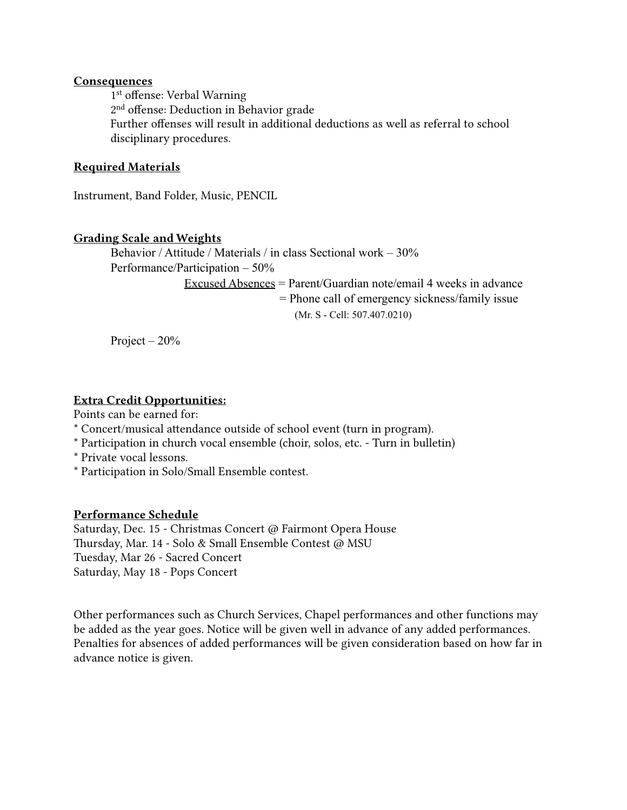#### **Consequences**

 1st offense: Verbal Warning 2nd offense: Deduction in Behavior grade Further offenses will result in additional deductions as well as referral to school disciplinary procedures.

### Required Materials

Instrument, Band Folder, Music, PENCIL

#### Grading Scale and Weights

Behavior / Attitude / Materials / in class Sectional work – 30% Performance/Participation – 50% Excused Absences = Parent/Guardian note/email 4 weeks in advance = Phone call of emergency sickness/family issue (Mr. S - Cell: 507.407.0210)

Project  $-20%$ 

# Extra Credit Opportunities:

Points can be earned for:

- \* Concert/musical attendance outside of school event (turn in program).
- \* Participation in church vocal ensemble (choir, solos, etc. Turn in bulletin)
- \* Private vocal lessons.
- \* Participation in Solo/Small Ensemble contest.

#### Performance Schedule

Saturday, Dec. 15 - Christmas Concert @ Fairmont Opera House Thursday, Mar. 14 - Solo & Small Ensemble Contest @ MSU Tuesday, Mar 26 - Sacred Concert Saturday, May 18 - Pops Concert

Other performances such as Church Services, Chapel performances and other functions may be added as the year goes. Notice will be given well in advance of any added performances. Penalties for absences of added performances will be given consideration based on how far in advance notice is given.